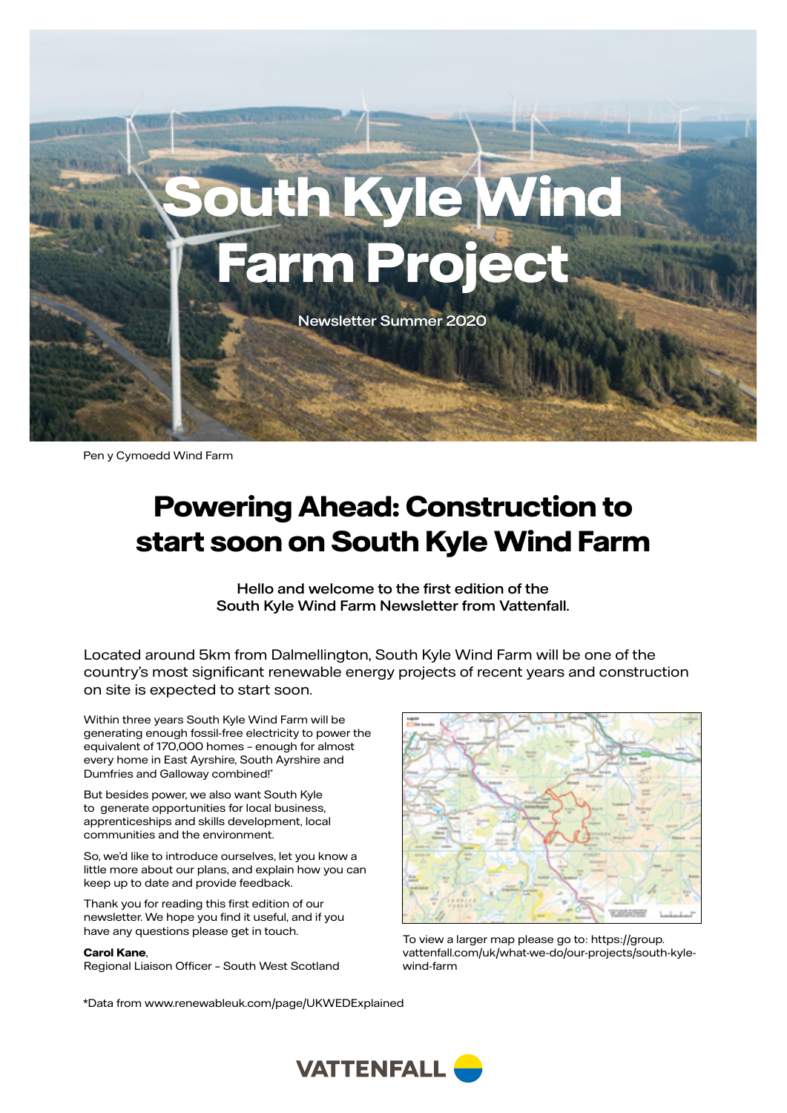

Pen y Cymoedd Wind Farm

# **Powering Ahead: Construction to start soon on South Kyle Wind Farm**

Hello and welcome to the first edition of the South Kyle Wind Farm Newsletter from Vattenfall.

Located around 5km from Dalmellington, South Kyle Wind Farm will be one of the country's most significant renewable energy projects of recent years and construction on site is expected to start soon.

Within three years South Kyle Wind Farm will be generating enough fossil-free electricity to power the equivalent of 170,000 homes – enough for almost every home in East Ayrshire, South Ayrshire and Dumfries and Galloway combined!\*

But besides power, we also want South Kyle to generate opportunities for local business, apprenticeships and skills development, local communities and the environment.

So, we'd like to introduce ourselves, let you know a little more about our plans, and explain how you can keep up to date and provide feedback.

Thank you for reading this first edition of our newsletter. We hope you find it useful, and if you have any questions please get in touch.

#### **Carol Kane**,

Regional Liaison Officer – South West Scotland



To view a larger map please go to: [https://group.](https://group.vattenfall.com/uk/what-we-do/our-projects/south-west-scotland/south-kyle-wind-farm) [vattenfall.com/uk/what-we-do/our-projects/south-kyle](https://group.vattenfall.com/uk/what-we-do/our-projects/south-west-scotland/south-kyle-wind-farm)[wind-farm](https://group.vattenfall.com/uk/what-we-do/our-projects/south-west-scotland/south-kyle-wind-farm)

\*Data from [www.renewableuk.com/page/UKWEDExplained](https://www.renewableuk.com/page/UKWEDExplained)

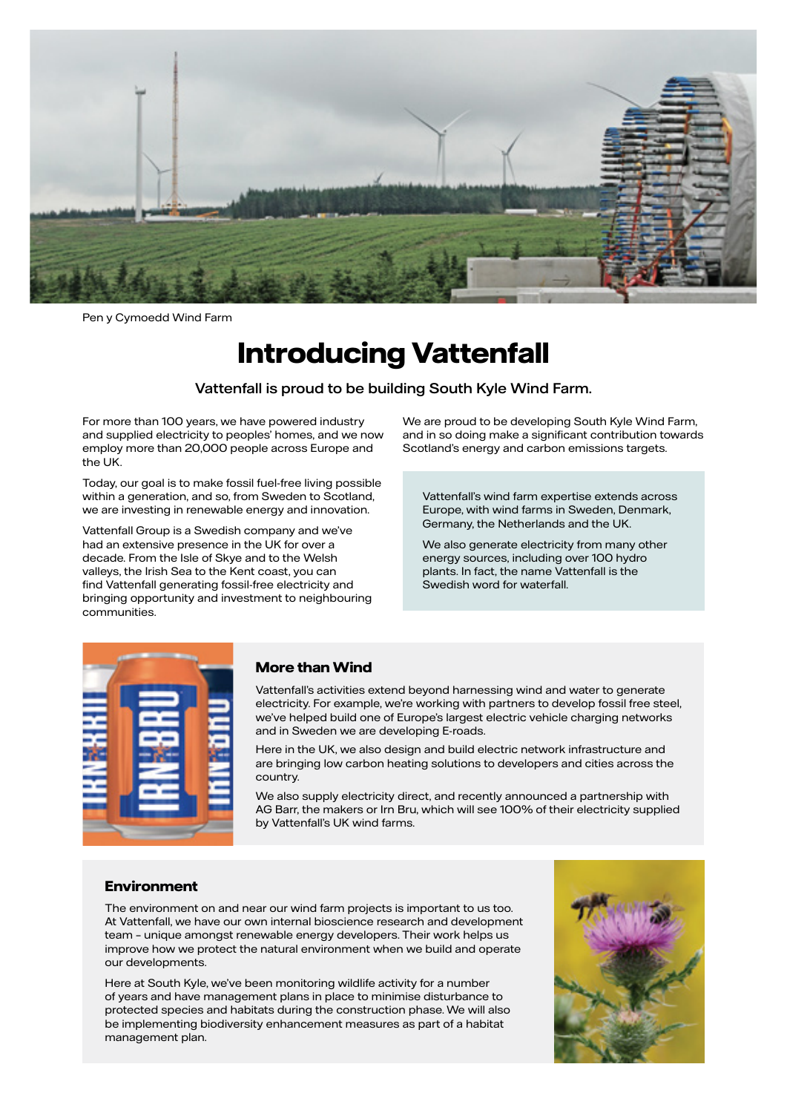

Pen y Cymoedd Wind Farm

# **Introducing Vattenfall**

Vattenfall is proud to be building South Kyle Wind Farm.

For more than 100 years, we have powered industry and supplied electricity to peoples' homes, and we now employ more than 20,000 people across Europe and the UK.

Today, our goal is to make fossil fuel-free living possible within a generation, and so, from Sweden to Scotland, we are investing in renewable energy and innovation.

Vattenfall Group is a Swedish company and we've had an extensive presence in the UK for over a decade. From the Isle of Skye and to the Welsh valleys, the Irish Sea to the Kent coast, you can find Vattenfall generating fossil-free electricity and bringing opportunity and investment to neighbouring communities.

We are proud to be developing South Kyle Wind Farm, and in so doing make a significant contribution towards Scotland's energy and carbon emissions targets.

Vattenfall's wind farm expertise extends across Europe, with wind farms in Sweden, Denmark, Germany, the Netherlands and the UK.

We also generate electricity from many other energy sources, including over 100 hydro plants. In fact, the name Vattenfall is the Swedish word for waterfall.



#### **More than Wind**

Vattenfall's activities extend beyond harnessing wind and water to generate electricity. For example, we're working with partners to develop fossil free steel, we've helped build one of Europe's largest electric vehicle charging networks and in Sweden we are developing E-roads.

Here in the UK, we also design and build electric network infrastructure and are bringing low carbon heating solutions to developers and cities across the country.

We also supply electricity direct, and recently announced a partnership with AG Barr, the makers or Irn Bru, which will see 100% of their electricity supplied by Vattenfall's UK wind farms.

#### **Environment**

The environment on and near our wind farm projects is important to us too. At Vattenfall, we have our own internal bioscience research and development team – unique amongst renewable energy developers. Their work helps us improve how we protect the natural environment when we build and operate our developments.

Here at South Kyle, we've been monitoring wildlife activity for a number of years and have management plans in place to minimise disturbance to protected species and habitats during the construction phase. We will also be implementing biodiversity enhancement measures as part of a habitat management plan.

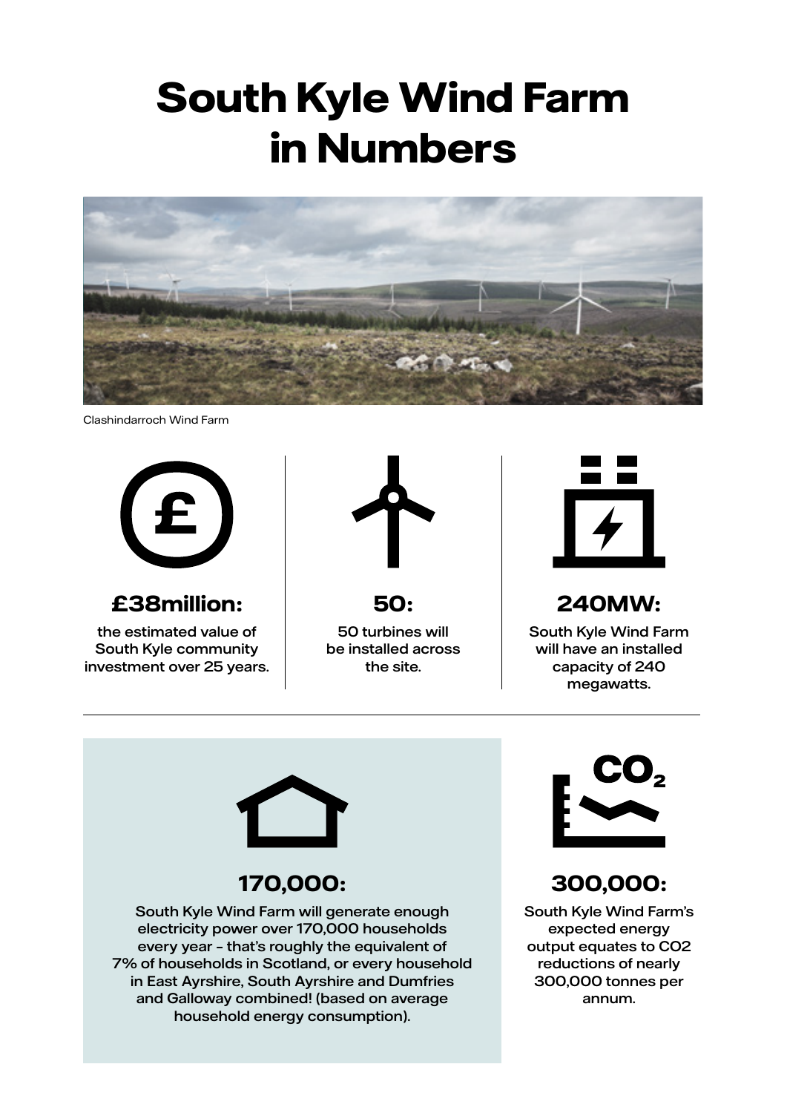# **South Kyle Wind Farm in Numbers**



Clashindarroch Wind Farm



#### **£38million:**

the estimated value of South Kyle community investment over 25 years.



```
50:
```
50 turbines will be installed across the site.



## **240MW:**

South Kyle Wind Farm will have an installed capacity of 240 megawatts.



## **170,000:**

South Kyle Wind Farm will generate enough electricity power over 170,000 households every year – that's roughly the equivalent of 7% of households in Scotland, or every household in East Ayrshire, South Ayrshire and Dumfries and Galloway combined! (based on average household energy consumption).



## **300,000:**

South Kyle Wind Farm's expected energy output equates to CO2 reductions of nearly 300,000 tonnes per annum.